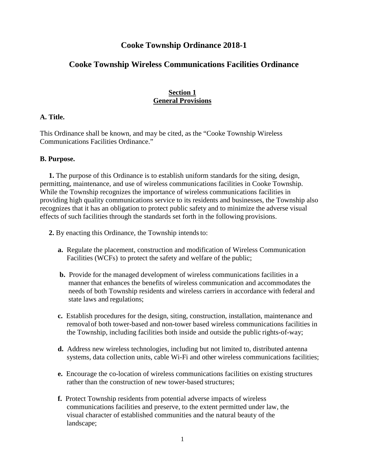# **Cooke Township Ordinance 2018-1**

# **Cooke Township Wireless Communications Facilities Ordinance**

## **Section 1 General Provisions**

#### **A. Title.**

This Ordinance shall be known, and may be cited, as the "Cooke Township Wireless Communications Facilities Ordinance."

#### **B. Purpose.**

 **1.** The purpose of this Ordinance is to establish uniform standards for the siting, design, permitting, maintenance, and use of wireless communications facilities in Cooke Township. While the Township recognizes the importance of wireless communications facilities in providing high quality communications service to its residents and businesses, the Township also recognizes that it has an obligation to protect public safety and to minimize the adverse visual effects of such facilities through the standards set forth in the following provisions.

- **2.** By enacting this Ordinance, the Township intends to:
	- **a.** Regulate the placement, construction and modification of Wireless Communication Facilities (WCFs) to protect the safety and welfare of the public;
	- **b.** Provide for the managed development of wireless communications facilities in a manner that enhances the benefits of wireless communication and accommodates the needs of both Township residents and wireless carriers in accordance with federal and state laws and regulations;
	- **c.** Establish procedures for the design, siting, construction, installation, maintenance and removal of both tower-based and non-tower based wireless communications facilities in the Township, including facilities both inside and outside the public rights-of-way;
	- **d.** Address new wireless technologies, including but not limited to, distributed antenna systems, data collection units, cable Wi-Fi and other wireless communications facilities;
	- **e.** Encourage the co-location of wireless communications facilities on existing structures rather than the construction of new tower-based structures;
	- **f.** Protect Township residents from potential adverse impacts of wireless communications facilities and preserve, to the extent permitted under law, the visual character of established communities and the natural beauty of the landscape;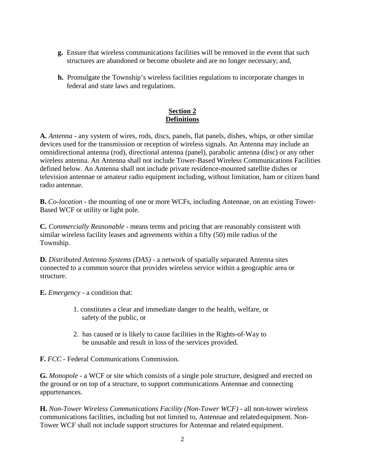- **g.** Ensure that wireless communications facilities will be removed in the event that such structures are abandoned or become obsolete and are no longer necessary; and,
- **h.** Promulgate the Township's wireless facilities regulations to incorporate changes in federal and state laws and regulations.

# **Section 2 Definitions**

**A.** *Antenna -* any system of wires, rods, discs, panels, flat panels, dishes, whips, or other similar devices used for the transmission or reception of wireless signals. An Antenna may include an omnidirectional antenna (rod), directional antenna (panel), parabolic antenna (disc) or any other wireless antenna. An Antenna shall not include Tower-Based Wireless Communications Facilities defined below. An Antenna shall not include private residence-mounted satellite dishes or television antennae or amateur radio equipment including, without limitation, ham or citizen band radio antennae.

**B.** *Co-location* - the mounting of one or more WCFs, including Antennae, on an existing Tower-Based WCF or utility or light pole.

**C.** *Commercially Reasonable -* means terms and pricing that are reasonably consistent with similar wireless facility leases and agreements within a fifty (50) mile radius of the Township.

**D.** *Distributed Antenna Systems (DAS) -* a network of spatially separated Antenna sites connected to a common source that provides wireless service within a geographic area or structure.

**E.** *Emergency* - a condition that:

- 1. constitutes a clear and immediate danger to the health, welfare, or safety of the public, or
- 2. has caused or is likely to cause facilities in the Rights-of-Way to be unusable and result in loss of the services provided.

**F.** *FCC* - Federal Communications Commission.

**G.** *Monopole* - a WCF or site which consists of a single pole structure, designed and erected on the ground or on top of a structure, to support communications Antennae and connecting appurtenances.

**H.** *Non-Tower Wireless Communications Facility (Non-Tower WCF) -* all non-tower wireless communications facilities, including but not limited to, Antennae and related equipment. Non-Tower WCF shall not include support structures for Antennae and related equipment.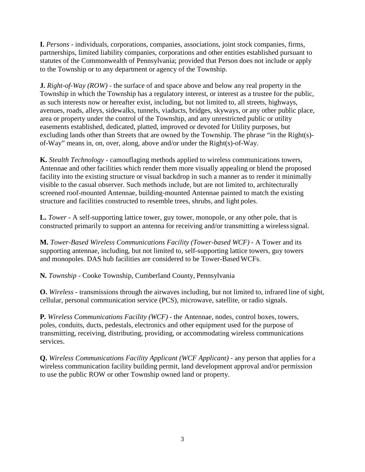**I.** *Persons -* individuals, corporations, companies, associations, joint stock companies, firms, partnerships, limited liability companies, corporations and other entities established pursuant to statutes of the Commonwealth of Pennsylvania; provided that Person does not include or apply to the Township or to any department or agency of the Township.

**J.** *Right-of-Way (ROW) -* the surface of and space above and below any real property in the Township in which the Township has a regulatory interest, or interest as a trustee for the public, as such interests now or hereafter exist, including, but not limited to, all streets, highways, avenues, roads, alleys, sidewalks, tunnels, viaducts, bridges, skyways, or any other public place, area or property under the control of the Township, and any unrestricted public or utility easements established, dedicated, platted, improved or devoted for Utility purposes, but excluding lands other than Streets that are owned by the Township. The phrase "in the Right(s) of-Way" means in, on, over, along, above and/or under the Right(s)-of-Way.

**K.** *Stealth Technology -* camouflaging methods applied to wireless communications towers, Antennae and other facilities which render them more visually appealing or blend the proposed facility into the existing structure or visual backdrop in such a manner as to render it minimally visible to the casual observer. Such methods include, but are not limited to, architecturally screened roof-mounted Antennae, building-mounted Antennae painted to match the existing structure and facilities constructed to resemble trees, shrubs, and light poles.

**L.** *Tower -* A self-supporting lattice tower, guy tower, monopole, or any other pole, that is constructed primarily to support an antenna for receiving and/or transmitting a wireless signal.

**M.** *Tower-Based Wireless Communications Facility (Tower-based WCF) -* A Tower and its supporting antennae, including, but not limited to, self-supporting lattice towers, guy towers and monopoles. DAS hub facilities are considered to be Tower-Based WCFs.

**N.** *Township -* Cooke Township, Cumberland County, Pennsylvania

**O.** *Wireless -* transmissions through the airwaves including, but not limited to, infrared line of sight, cellular, personal communication service (PCS), microwave, satellite, or radio signals.

**P.** *Wireless Communications Facility (WCF) -* the Antennae, nodes, control boxes, towers, poles, conduits, ducts, pedestals, electronics and other equipment used for the purpose of transmitting, receiving, distributing, providing, or accommodating wireless communications services.

**Q.** *Wireless Communications Facility Applicant (WCF Applicant) -* any person that applies for a wireless communication facility building permit, land development approval and/or permission to use the public ROW or other Township owned land or property.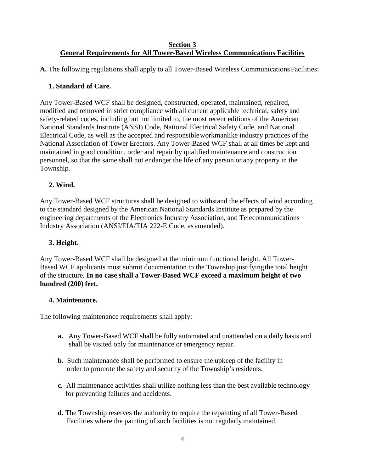#### **Section 3 General Requirements for All Tower-Based Wireless Communications Facilities**

**A.** The following regulations shall apply to all Tower-Based Wireless Communications Facilities:

## **1. Standard of Care.**

Any Tower-Based WCF shall be designed, constructed, operated, maintained, repaired, modified and removed in strict compliance with all current applicable technical, safety and safety-related codes, including but not limited to, the most recent editions of the American National Standards Institute (ANSI) Code, National Electrical Safety Code, and National Electrical Code, as well as the accepted and responsible workmanlike industry practices of the National Association of Tower Erectors. Any Tower-Based WCF shall at all times be kept and maintained in good condition, order and repair by qualified maintenance and construction personnel, so that the same shall not endanger the life of any person or any property in the Township.

# **2. Wind.**

Any Tower-Based WCF structures shall be designed to withstand the effects of wind according to the standard designed by the American National Standards Institute as prepared by the engineering departments of the Electronics Industry Association, and Telecommunications Industry Association (ANSI/EIA/TIA 222-E Code, as amended).

## **3. Height.**

Any Tower-Based WCF shall be designed at the minimum functional height. All Tower-Based WCF applicants must submit documentation to the Township justifying the total height of the structure. **In no case shall a Tower-Based WCF exceed a maximum height of two hundred (200) feet.** 

## **4. Maintenance.**

The following maintenance requirements shall apply:

- **a.** Any Tower-Based WCF shall be fully automated and unattended on a daily basis and shall be visited only for maintenance or emergency repair.
- **b.** Such maintenance shall be performed to ensure the upkeep of the facility in order to promote the safety and security of the Township's residents.
- **c.** All maintenance activities shall utilize nothing less than the best available technology for preventing failures and accidents.
- **d.** The Township reserves the authority to require the repainting of all Tower-Based Facilities where the painting of such facilities is not regularly maintained.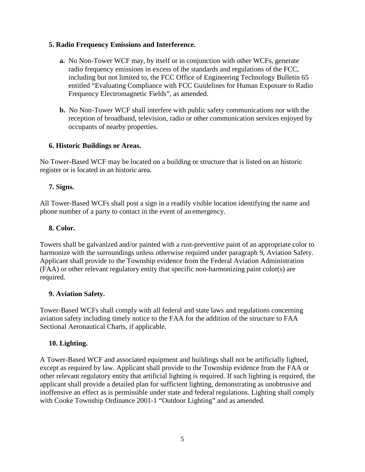### **5. Radio Frequency Emissions and Interference.**

- **a.** No Non-Tower WCF may, by itself or in conjunction with other WCFs, generate radio frequency emissions in excess of the standards and regulations of the FCC, including but not limited to, the FCC Office of Engineering Technology Bulletin 65 entitled "Evaluating Compliance with FCC Guidelines for Human Exposure to Radio Frequency Electromagnetic Fields", as amended.
- **b.** No Non-Tower WCF shall interfere with public safety communications nor with the reception of broadband, television, radio or other communication services enjoyed by occupants of nearby properties.

### **6. Historic Buildings or Areas.**

No Tower-Based WCF may be located on a building or structure that is listed on an historic register or is located in an historic area.

## **7. Signs.**

All Tower-Based WCFs shall post a sign in a readily visible location identifying the name and phone number of a party to contact in the event of an emergency.

### **8. Color.**

Towers shall be galvanized and/or painted with a rust-preventive paint of an appropriate color to harmonize with the surroundings unless otherwise required under paragraph 9, Aviation Safety. Applicant shall provide to the Township evidence from the Federal Aviation Administration (FAA) or other relevant regulatory entity that specific non-harmonizing paint color(s) are required.

## **9. Aviation Safety.**

Tower-Based WCFs shall comply with all federal and state laws and regulations concerning aviation safety including timely notice to the FAA for the addition of the structure to FAA Sectional Aeronautical Charts, if applicable.

## **10. Lighting.**

A Tower-Based WCF and associated equipment and buildings shall not be artificially lighted, except as required by law. Applicant shall provide to the Township evidence from the FAA or other relevant regulatory entity that artificial lighting is required. If such lighting is required, the applicant shall provide a detailed plan for sufficient lighting, demonstrating as unobtrusive and inoffensive an effect as is permissible under state and federal regulations. Lighting shall comply with Cooke Township Ordinance 2001-1 "Outdoor Lighting" and as amended.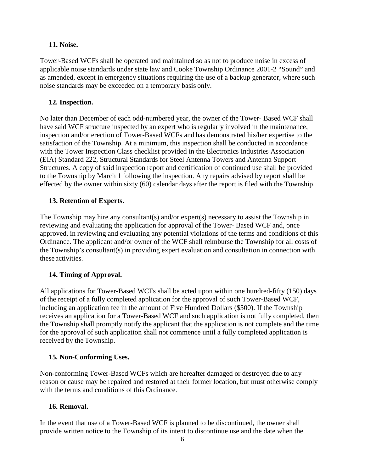### **11. Noise.**

Tower-Based WCFs shall be operated and maintained so as not to produce noise in excess of applicable noise standards under state law and Cooke Township Ordinance 2001-2 "Sound" and as amended, except in emergency situations requiring the use of a backup generator, where such noise standards may be exceeded on a temporary basis only.

### **12. Inspection.**

No later than December of each odd-numbered year, the owner of the Tower- Based WCF shall have said WCF structure inspected by an expert who is regularly involved in the maintenance, inspection and/or erection of Tower-Based WCFs and has demonstrated his/her expertise to the satisfaction of the Township. At a minimum, this inspection shall be conducted in accordance with the Tower Inspection Class checklist provided in the Electronics Industries Association (EIA) Standard 222, Structural Standards for Steel Antenna Towers and Antenna Support Structures. A copy of said inspection report and certification of continued use shall be provided to the Township by March 1 following the inspection. Any repairs advised by report shall be effected by the owner within sixty (60) calendar days after the report is filed with the Township.

### **13. Retention of Experts.**

The Township may hire any consultant(s) and/or expert(s) necessary to assist the Township in reviewing and evaluating the application for approval of the Tower- Based WCF and, once approved, in reviewing and evaluating any potential violations of the terms and conditions of this Ordinance. The applicant and/or owner of the WCF shall reimburse the Township for all costs of the Township's consultant(s) in providing expert evaluation and consultation in connection with these activities.

## **14. Timing of Approval.**

All applications for Tower-Based WCFs shall be acted upon within one hundred-fifty (150) days of the receipt of a fully completed application for the approval of such Tower-Based WCF, including an application fee in the amount of Five Hundred Dollars (\$500). If the Township receives an application for a Tower-Based WCF and such application is not fully completed, then the Township shall promptly notify the applicant that the application is not complete and the time for the approval of such application shall not commence until a fully completed application is received by the Township.

#### **15. Non-Conforming Uses.**

Non-conforming Tower-Based WCFs which are hereafter damaged or destroyed due to any reason or cause may be repaired and restored at their former location, but must otherwise comply with the terms and conditions of this Ordinance.

### **16. Removal.**

In the event that use of a Tower-Based WCF is planned to be discontinued, the owner shall provide written notice to the Township of its intent to discontinue use and the date when the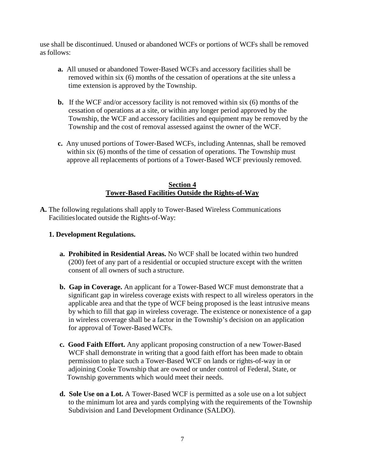use shall be discontinued. Unused or abandoned WCFs or portions of WCFs shall be removed as follows:

- **a.** All unused or abandoned Tower-Based WCFs and accessory facilities shall be removed within six (6) months of the cessation of operations at the site unless a time extension is approved by the Township.
- **b.** If the WCF and/or accessory facility is not removed within six (6) months of the cessation of operations at a site, or within any longer period approved by the Township, the WCF and accessory facilities and equipment may be removed by the Township and the cost of removal assessed against the owner of the WCF.
- **c.** Any unused portions of Tower-Based WCFs, including Antennas, shall be removed within six (6) months of the time of cessation of operations. The Township must approve all replacements of portions of a Tower-Based WCF previously removed.

### **Section 4 Tower-Based Facilities Outside the Rights-of-Way**

**A.** The following regulations shall apply to Tower-Based Wireless Communications Facilities located outside the Rights-of-Way:

# **1. Development Regulations.**

- **a. Prohibited in Residential Areas.** No WCF shall be located within two hundred (200) feet of any part of a residential or occupied structure except with the written consent of all owners of such a structure.
- **b. Gap in Coverage.** An applicant for a Tower-Based WCF must demonstrate that a significant gap in wireless coverage exists with respect to all wireless operators in the applicable area and that the type of WCF being proposed is the least intrusive means by which to fill that gap in wireless coverage. The existence or nonexistence of a gap in wireless coverage shall be a factor in the Township's decision on an application for approval of Tower-Based WCFs.
- **c. Good Faith Effort.** Any applicant proposing construction of a new Tower-Based WCF shall demonstrate in writing that a good faith effort has been made to obtain permission to place such a Tower-Based WCF on lands or rights-of-way in or adjoining Cooke Township that are owned or under control of Federal, State, or Township governments which would meet their needs.
- **d. Sole Use on a Lot.** A Tower-Based WCF is permitted as a sole use on a lot subject to the minimum lot area and yards complying with the requirements of the Township Subdivision and Land Development Ordinance (SALDO).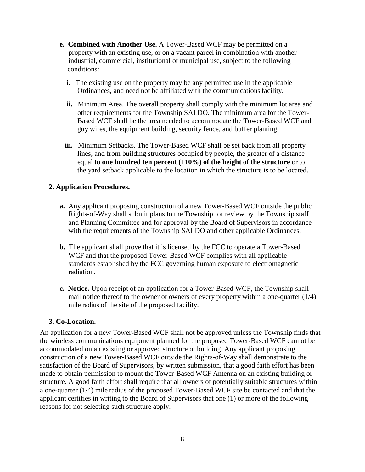- **e. Combined with Another Use.** A Tower-Based WCF may be permitted on a property with an existing use, or on a vacant parcel in combination with another industrial, commercial, institutional or municipal use, subject to the following conditions:
	- **i.** The existing use on the property may be any permitted use in the applicable Ordinances, and need not be affiliated with the communications facility.
	- **ii.** Minimum Area. The overall property shall comply with the minimum lot area and other requirements for the Township SALDO. The minimum area for the Tower- Based WCF shall be the area needed to accommodate the Tower-Based WCF and guy wires, the equipment building, security fence, and buffer planting.
	- **iii.** Minimum Setbacks. The Tower-Based WCF shall be set back from all property lines, and from building structures occupied by people, the greater of a distance equal to **one hundred ten percent (110%) of the height of the structure** or to the yard setback applicable to the location in which the structure is to be located.

## **2. Application Procedures.**

- **a.** Any applicant proposing construction of a new Tower-Based WCF outside the public Rights-of-Way shall submit plans to the Township for review by the Township staff and Planning Committee and for approval by the Board of Supervisors in accordance with the requirements of the Township SALDO and other applicable Ordinances.
- **b.** The applicant shall prove that it is licensed by the FCC to operate a Tower-Based WCF and that the proposed Tower-Based WCF complies with all applicable standards established by the FCC governing human exposure to electromagnetic radiation.
- **c. Notice.** Upon receipt of an application for a Tower-Based WCF, the Township shall mail notice thereof to the owner or owners of every property within a one-quarter (1/4) mile radius of the site of the proposed facility.

## **3. Co-Location.**

An application for a new Tower-Based WCF shall not be approved unless the Township finds that the wireless communications equipment planned for the proposed Tower-Based WCF cannot be accommodated on an existing or approved structure or building. Any applicant proposing construction of a new Tower-Based WCF outside the Rights-of-Way shall demonstrate to the satisfaction of the Board of Supervisors, by written submission, that a good faith effort has been made to obtain permission to mount the Tower-Based WCF Antenna on an existing building or structure. A good faith effort shall require that all owners of potentially suitable structures within a one-quarter (1/4) mile radius of the proposed Tower-Based WCF site be contacted and that the applicant certifies in writing to the Board of Supervisors that one (1) or more of the following reasons for not selecting such structure apply: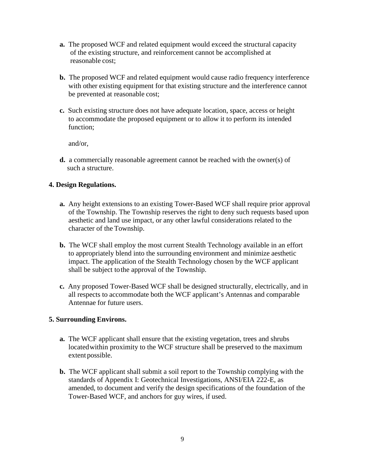- **a.** The proposed WCF and related equipment would exceed the structural capacity of the existing structure, and reinforcement cannot be accomplished at reasonable cost;
- **b.** The proposed WCF and related equipment would cause radio frequency interference with other existing equipment for that existing structure and the interference cannot be prevented at reasonable cost;
- **c.** Such existing structure does not have adequate location, space, access or height to accommodate the proposed equipment or to allow it to perform its intended function;

and/or,

 **d.** a commercially reasonable agreement cannot be reached with the owner(s) of such a structure.

### **4. Design Regulations.**

- **a.** Any height extensions to an existing Tower-Based WCF shall require prior approval of the Township. The Township reserves the right to deny such requests based upon aesthetic and land use impact, or any other lawful considerations related to the character of the Township.
- **b.** The WCF shall employ the most current Stealth Technology available in an effort to appropriately blend into the surrounding environment and minimize aesthetic impact. The application of the Stealth Technology chosen by the WCF applicant shall be subject to the approval of the Township.
- **c.** Any proposed Tower-Based WCF shall be designed structurally, electrically, and in all respects to accommodate both the WCF applicant's Antennas and comparable Antennae for future users.

#### **5. Surrounding Environs.**

- **a.** The WCF applicant shall ensure that the existing vegetation, trees and shrubs located within proximity to the WCF structure shall be preserved to the maximum extent possible.
- **b.** The WCF applicant shall submit a soil report to the Township complying with the standards of Appendix I: Geotechnical Investigations, ANSI/EIA 222-E, as amended, to document and verify the design specifications of the foundation of the Tower-Based WCF, and anchors for guy wires, if used.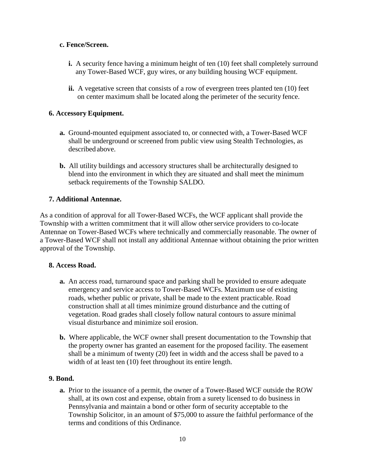### **c. Fence/Screen.**

- **i.** A security fence having a minimum height of ten (10) feet shall completely surround any Tower-Based WCF, guy wires, or any building housing WCF equipment.
- ii. A vegetative screen that consists of a row of evergreen trees planted ten (10) feet on center maximum shall be located along the perimeter of the security fence.

## **6. Accessory Equipment.**

- **a.** Ground-mounted equipment associated to, or connected with, a Tower-Based WCF shall be underground or screened from public view using Stealth Technologies, as described above.
- **b.** All utility buildings and accessory structures shall be architecturally designed to blend into the environment in which they are situated and shall meet the minimum setback requirements of the Township SALDO.

## **7. Additional Antennae.**

As a condition of approval for all Tower-Based WCFs, the WCF applicant shall provide the Township with a written commitment that it will allow other service providers to co-locate Antennae on Tower-Based WCFs where technically and commercially reasonable. The owner of a Tower-Based WCF shall not install any additional Antennae without obtaining the prior written approval of the Township.

## **8. Access Road.**

- **a.** An access road, turnaround space and parking shall be provided to ensure adequate emergency and service access to Tower-Based WCFs. Maximum use of existing roads, whether public or private, shall be made to the extent practicable. Road construction shall at all times minimize ground disturbance and the cutting of vegetation. Road grades shall closely follow natural contours to assure minimal visual disturbance and minimize soil erosion.
- **b.** Where applicable, the WCF owner shall present documentation to the Township that the property owner has granted an easement for the proposed facility. The easement shall be a minimum of twenty (20) feet in width and the access shall be paved to a width of at least ten  $(10)$  feet throughout its entire length.

## **9. Bond.**

 **a.** Prior to the issuance of a permit, the owner of a Tower-Based WCF outside the ROW shall, at its own cost and expense, obtain from a surety licensed to do business in Pennsylvania and maintain a bond or other form of security acceptable to the Township Solicitor, in an amount of \$75,000 to assure the faithful performance of the terms and conditions of this Ordinance.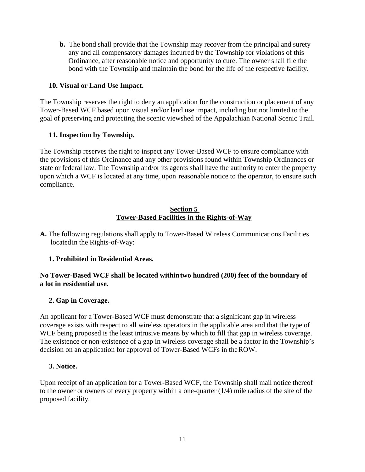**b.** The bond shall provide that the Township may recover from the principal and surety any and all compensatory damages incurred by the Township for violations of this Ordinance, after reasonable notice and opportunity to cure. The owner shall file the bond with the Township and maintain the bond for the life of the respective facility.

### **10. Visual or Land Use Impact.**

The Township reserves the right to deny an application for the construction or placement of any Tower-Based WCF based upon visual and/or land use impact, including but not limited to the goal of preserving and protecting the scenic viewshed of the Appalachian National Scenic Trail.

### **11. Inspection by Township.**

The Township reserves the right to inspect any Tower-Based WCF to ensure compliance with the provisions of this Ordinance and any other provisions found within Township Ordinances or state or federal law. The Township and/or its agents shall have the authority to enter the property upon which a WCF is located at any time, upon reasonable notice to the operator, to ensure such compliance.

#### **Section 5 Tower-Based Facilities in the Rights-of-Way**

**A.** The following regulations shall apply to Tower-Based Wireless Communications Facilities located in the Rights-of-Way:

## **1. Prohibited in Residential Areas.**

### **No Tower-Based WCF shall be located within two hundred (200) feet of the boundary of a lot in residential use.**

## **2. Gap in Coverage.**

An applicant for a Tower-Based WCF must demonstrate that a significant gap in wireless coverage exists with respect to all wireless operators in the applicable area and that the type of WCF being proposed is the least intrusive means by which to fill that gap in wireless coverage. The existence or non-existence of a gap in wireless coverage shall be a factor in the Township's decision on an application for approval of Tower-Based WCFs in the ROW.

#### **3. Notice.**

Upon receipt of an application for a Tower-Based WCF, the Township shall mail notice thereof to the owner or owners of every property within a one-quarter (1/4) mile radius of the site of the proposed facility.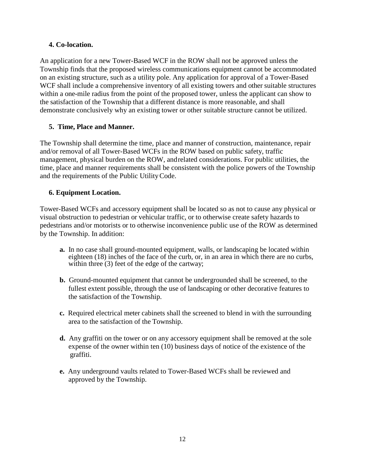# **4. Co-location.**

An application for a new Tower-Based WCF in the ROW shall not be approved unless the Township finds that the proposed wireless communications equipment cannot be accommodated on an existing structure, such as a utility pole. Any application for approval of a Tower-Based WCF shall include a comprehensive inventory of all existing towers and other suitable structures within a one-mile radius from the point of the proposed tower, unless the applicant can show to the satisfaction of the Township that a different distance is more reasonable, and shall demonstrate conclusively why an existing tower or other suitable structure cannot be utilized.

# **5. Time, Place and Manner.**

The Township shall determine the time, place and manner of construction, maintenance, repair and/or removal of all Tower-Based WCFs in the ROW based on public safety, traffic management, physical burden on the ROW, and related considerations. For public utilities, the time, place and manner requirements shall be consistent with the police powers of the Township and the requirements of the Public Utility Code.

# **6. Equipment Location.**

Tower-Based WCFs and accessory equipment shall be located so as not to cause any physical or visual obstruction to pedestrian or vehicular traffic, or to otherwise create safety hazards to pedestrians and/or motorists or to otherwise inconvenience public use of the ROW as determined by the Township. In addition:

- **a.** In no case shall ground-mounted equipment, walls, or landscaping be located within eighteen (18) inches of the face of the curb, or, in an area in which there are no curbs, within three  $(3)$  feet of the edge of the cartway;
- **b.** Ground-mounted equipment that cannot be undergrounded shall be screened, to the fullest extent possible, through the use of landscaping or other decorative features to the satisfaction of the Township.
- **c.** Required electrical meter cabinets shall the screened to blend in with the surrounding area to the satisfaction of the Township.
- **d.** Any graffiti on the tower or on any accessory equipment shall be removed at the sole expense of the owner within ten (10) business days of notice of the existence of the graffiti.
- **e.** Any underground vaults related to Tower-Based WCFs shall be reviewed and approved by the Township.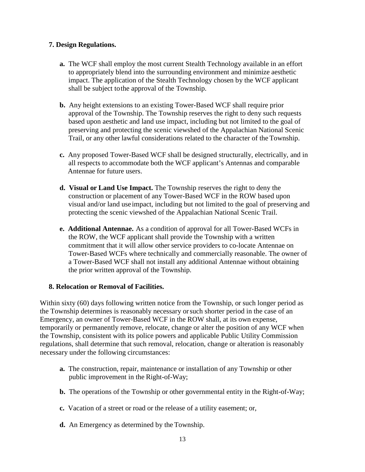## **7. Design Regulations.**

- **a.** The WCF shall employ the most current Stealth Technology available in an effort to appropriately blend into the surrounding environment and minimize aesthetic impact. The application of the Stealth Technology chosen by the WCF applicant shall be subject to the approval of the Township.
- **b.** Any height extensions to an existing Tower-Based WCF shall require prior approval of the Township. The Township reserves the right to deny such requests based upon aesthetic and land use impact, including but not limited to the goal of preserving and protecting the scenic viewshed of the Appalachian National Scenic Trail, or any other lawful considerations related to the character of the Township.
- **c.** Any proposed Tower-Based WCF shall be designed structurally, electrically, and in all respects to accommodate both the WCF applicant's Antennas and comparable Antennae for future users.
- **d. Visual or Land Use Impact.** The Township reserves the right to deny the construction or placement of any Tower-Based WCF in the ROW based upon visual and/or land use impact, including but not limited to the goal of preserving and protecting the scenic viewshed of the Appalachian National Scenic Trail.
- **e. Additional Antennae.** As a condition of approval for all Tower-Based WCFs in the ROW, the WCF applicant shall provide the Township with a written commitment that it will allow other service providers to co-locate Antennae on Tower-Based WCFs where technically and commercially reasonable. The owner of a Tower-Based WCF shall not install any additional Antennae without obtaining the prior written approval of the Township.

#### **8. Relocation or Removal of Facilities.**

Within sixty (60) days following written notice from the Township, or such longer period as the Township determines is reasonably necessary or such shorter period in the case of an Emergency, an owner of Tower-Based WCF in the ROW shall, at its own expense, temporarily or permanently remove, relocate, change or alter the position of any WCF when the Township, consistent with its police powers and applicable Public Utility Commission regulations, shall determine that such removal, relocation, change or alteration is reasonably necessary under the following circumstances:

- **a.** The construction, repair, maintenance or installation of any Township or other public improvement in the Right-of-Way;
- **b.** The operations of the Township or other governmental entity in the Right-of-Way;
- **c.** Vacation of a street or road or the release of a utility easement; or,
- **d.** An Emergency as determined by the Township.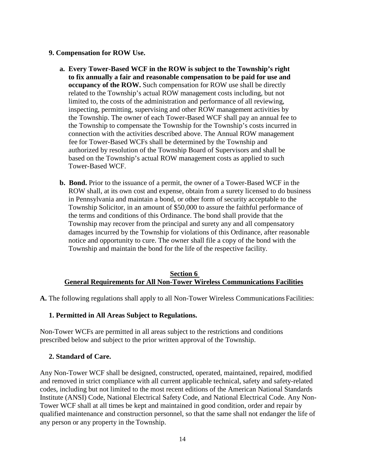#### **9. Compensation for ROW Use.**

- **a. Every Tower-Based WCF in the ROW is subject to the Township's right to fix annually a fair and reasonable compensation to be paid for use and occupancy of the ROW.** Such compensation for ROW use shall be directly related to the Township's actual ROW management costs including, but not limited to, the costs of the administration and performance of all reviewing, inspecting, permitting, supervising and other ROW management activities by the Township. The owner of each Tower-Based WCF shall pay an annual fee to the Township to compensate the Township for the Township's costs incurred in connection with the activities described above. The Annual ROW management fee for Tower-Based WCFs shall be determined by the Township and authorized by resolution of the Township Board of Supervisors and shall be based on the Township's actual ROW management costs as applied to such Tower-Based WCF.
- **b. Bond.** Prior to the issuance of a permit, the owner of a Tower-Based WCF in the ROW shall, at its own cost and expense, obtain from a surety licensed to do business in Pennsylvania and maintain a bond, or other form of security acceptable to the Township Solicitor, in an amount of \$50,000 to assure the faithful performance of the terms and conditions of this Ordinance. The bond shall provide that the Township may recover from the principal and surety any and all compensatory damages incurred by the Township for violations of this Ordinance, after reasonable notice and opportunity to cure. The owner shall file a copy of the bond with the Township and maintain the bond for the life of the respective facility.

#### **Section 6 General Requirements for All Non-Tower Wireless Communications Facilities**

**A.** The following regulations shall apply to all Non-Tower Wireless Communications Facilities:

#### **1. Permitted in All Areas Subject to Regulations.**

Non-Tower WCFs are permitted in all areas subject to the restrictions and conditions prescribed below and subject to the prior written approval of the Township.

#### **2. Standard of Care.**

Any Non-Tower WCF shall be designed, constructed, operated, maintained, repaired, modified and removed in strict compliance with all current applicable technical, safety and safety-related codes, including but not limited to the most recent editions of the American National Standards Institute (ANSI) Code, National Electrical Safety Code, and National Electrical Code. Any Non-Tower WCF shall at all times be kept and maintained in good condition, order and repair by qualified maintenance and construction personnel, so that the same shall not endanger the life of any person or any property in the Township.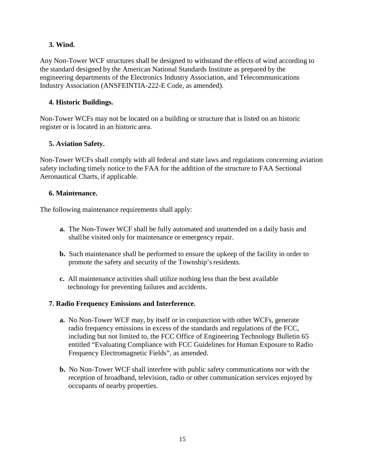# **3. Wind.**

Any Non-Tower WCF structures shall be designed to withstand the effects of wind according to the standard designed by the American National Standards Institute as prepared by the engineering departments of the Electronics Industry Association, and Telecommunications Industry Association (ANSFEINTIA-222-E Code, as amended).

## **4. Historic Buildings.**

Non-Tower WCFs may not be located on a building or structure that is listed on an historic register or is located in an historic area.

# **5. Aviation Safety.**

Non-Tower WCFs shall comply with all federal and state laws and regulations concerning aviation safety including timely notice to the FAA for the addition of the structure to FAA Sectional Aeronautical Charts, if applicable.

## **6. Maintenance.**

The following maintenance requirements shall apply:

- **a.** The Non-Tower WCF shall be fully automated and unattended on a daily basis and shall be visited only for maintenance or emergency repair.
- **b.** Such maintenance shall be performed to ensure the upkeep of the facility in order to promote the safety and security of the Township's residents.
- **c.** All maintenance activities shall utilize nothing less than the best available technology for preventing failures and accidents.

## **7. Radio Frequency Emissions and Interference.**

- **a.** No Non-Tower WCF may, by itself or in conjunction with other WCFs, generate radio frequency emissions in excess of the standards and regulations of the FCC, including but not limited to, the FCC Office of Engineering Technology Bulletin 65 entitled "Evaluating Compliance with FCC Guidelines for Human Exposure to Radio Frequency Electromagnetic Fields", as amended.
- **b.** No Non-Tower WCF shall interfere with public safety communications nor with the reception of broadband, television, radio or other communication services enjoyed by occupants of nearby properties.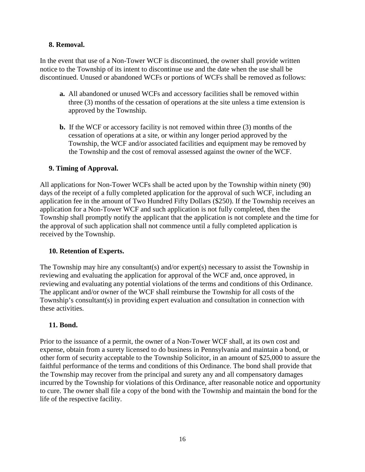## **8. Removal.**

In the event that use of a Non-Tower WCF is discontinued, the owner shall provide written notice to the Township of its intent to discontinue use and the date when the use shall be discontinued. Unused or abandoned WCFs or portions of WCFs shall be removed as follows:

- **a.** All abandoned or unused WCFs and accessory facilities shall be removed within three (3) months of the cessation of operations at the site unless a time extension is approved by the Township.
- **b.** If the WCF or accessory facility is not removed within three (3) months of the cessation of operations at a site, or within any longer period approved by the Township, the WCF and/or associated facilities and equipment may be removed by the Township and the cost of removal assessed against the owner of the WCF.

# **9. Timing of Approval.**

All applications for Non-Tower WCFs shall be acted upon by the Township within ninety (90) days of the receipt of a fully completed application for the approval of such WCF, including an application fee in the amount of Two Hundred Fifty Dollars (\$250). If the Township receives an application for a Non-Tower WCF and such application is not fully completed, then the Township shall promptly notify the applicant that the application is not complete and the time for the approval of such application shall not commence until a fully completed application is received by the Township.

## **10. Retention of Experts.**

The Township may hire any consultant(s) and/or expert(s) necessary to assist the Township in reviewing and evaluating the application for approval of the WCF and, once approved, in reviewing and evaluating any potential violations of the terms and conditions of this Ordinance. The applicant and/or owner of the WCF shall reimburse the Township for all costs of the Township's consultant(s) in providing expert evaluation and consultation in connection with these activities.

## **11. Bond.**

Prior to the issuance of a permit, the owner of a Non-Tower WCF shall, at its own cost and expense, obtain from a surety licensed to do business in Pennsylvania and maintain a bond, or other form of security acceptable to the Township Solicitor, in an amount of \$25,000 to assure the faithful performance of the terms and conditions of this Ordinance. The bond shall provide that the Township may recover from the principal and surety any and all compensatory damages incurred by the Township for violations of this Ordinance, after reasonable notice and opportunity to cure. The owner shall file a copy of the bond with the Township and maintain the bond for the life of the respective facility.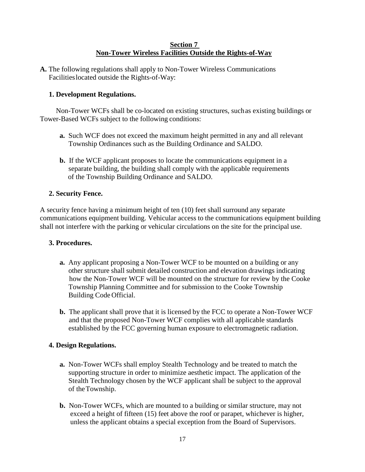#### **Section 7 Non-Tower Wireless Facilities Outside the Rights-of-Way**

**A.** The following regulations shall apply to Non-Tower Wireless Communications Facilities located outside the Rights-of-Way:

## **1. Development Regulations.**

 Non-Tower WCFs shall be co-located on existing structures, such as existing buildings or Tower-Based WCFs subject to the following conditions:

- **a.** Such WCF does not exceed the maximum height permitted in any and all relevant Township Ordinances such as the Building Ordinance and SALDO.
- **b.** If the WCF applicant proposes to locate the communications equipment in a separate building, the building shall comply with the applicable requirements of the Township Building Ordinance and SALDO.

## **2. Security Fence.**

A security fence having a minimum height of ten (10) feet shall surround any separate communications equipment building. Vehicular access to the communications equipment building shall not interfere with the parking or vehicular circulations on the site for the principal use.

## **3. Procedures.**

- **a.** Any applicant proposing a Non-Tower WCF to be mounted on a building or any other structure shall submit detailed construction and elevation drawings indicating how the Non-Tower WCF will be mounted on the structure for review by the Cooke Township Planning Committee and for submission to the Cooke Township Building Code Official.
- **b.** The applicant shall prove that it is licensed by the FCC to operate a Non-Tower WCF and that the proposed Non-Tower WCF complies with all applicable standards established by the FCC governing human exposure to electromagnetic radiation.

## **4. Design Regulations.**

- **a.** Non-Tower WCFs shall employ Stealth Technology and be treated to match the supporting structure in order to minimize aesthetic impact. The application of the Stealth Technology chosen by the WCF applicant shall be subject to the approval of the Township.
- **b.** Non-Tower WCFs, which are mounted to a building or similar structure, may not exceed a height of fifteen (15) feet above the roof or parapet, whichever is higher, unless the applicant obtains a special exception from the Board of Supervisors.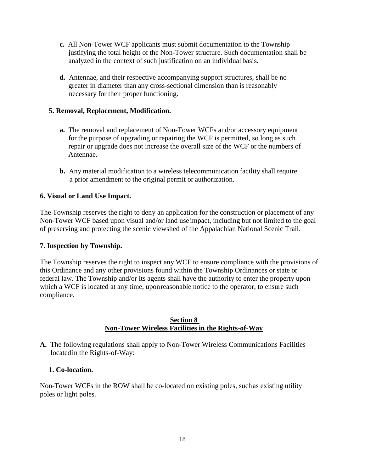- **c.** All Non-Tower WCF applicants must submit documentation to the Township justifying the total height of the Non-Tower structure. Such documentation shall be analyzed in the context of such justification on an individual basis.
- **d.** Antennae, and their respective accompanying support structures, shall be no greater in diameter than any cross-sectional dimension than is reasonably necessary for their proper functioning.

### **5. Removal, Replacement, Modification.**

- **a.** The removal and replacement of Non-Tower WCFs and/or accessory equipment for the purpose of upgrading or repairing the WCF is permitted, so long as such repair or upgrade does not increase the overall size of the WCF or the numbers of Antennae.
- **b.** Any material modification to a wireless telecommunication facility shall require a prior amendment to the original permit or authorization.

### **6. Visual or Land Use Impact.**

The Township reserves the right to deny an application for the construction or placement of any Non-Tower WCF based upon visual and/or land use impact, including but not limited to the goal of preserving and protecting the scenic viewshed of the Appalachian National Scenic Trail.

#### **7. Inspection by Township.**

The Township reserves the right to inspect any WCF to ensure compliance with the provisions of this Ordinance and any other provisions found within the Township Ordinances or state or federal law. The Township and/or its agents shall have the authority to enter the property upon which a WCF is located at any time, upon reasonable notice to the operator, to ensure such compliance.

#### **Section 8 Non-Tower Wireless Facilities in the Rights-of-Way**

**A.** The following regulations shall apply to Non-Tower Wireless Communications Facilities located in the Rights-of-Way:

#### **1. Co-location.**

Non-Tower WCFs in the ROW shall be co-located on existing poles, such as existing utility poles or light poles.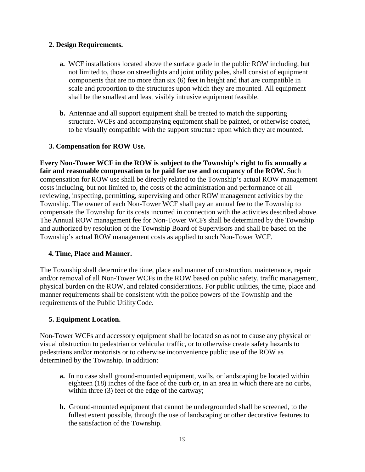## **2. Design Requirements.**

- **a.** WCF installations located above the surface grade in the public ROW including, but not limited to, those on streetlights and joint utility poles, shall consist of equipment components that are no more than six (6) feet in height and that are compatible in scale and proportion to the structures upon which they are mounted. All equipment shall be the smallest and least visibly intrusive equipment feasible.
- **b.** Antennae and all support equipment shall be treated to match the supporting structure. WCFs and accompanying equipment shall be painted, or otherwise coated, to be visually compatible with the support structure upon which they are mounted.

## **3. Compensation for ROW Use.**

**Every Non-Tower WCF in the ROW is subject to the Township's right to fix annually a fair and reasonable compensation to be paid for use and occupancy of the ROW.** Such compensation for ROW use shall be directly related to the Township's actual ROW management costs including, but not limited to, the costs of the administration and performance of all reviewing, inspecting, permitting, supervising and other ROW management activities by the Township. The owner of each Non-Tower WCF shall pay an annual fee to the Township to compensate the Township for its costs incurred in connection with the activities described above. The Annual ROW management fee for Non-Tower WCFs shall be determined by the Township and authorized by resolution of the Township Board of Supervisors and shall be based on the Township's actual ROW management costs as applied to such Non-Tower WCF.

## **4. Time, Place and Manner.**

The Township shall determine the time, place and manner of construction, maintenance, repair and/or removal of all Non-Tower WCFs in the ROW based on public safety, traffic management, physical burden on the ROW, and related considerations. For public utilities, the time, place and manner requirements shall be consistent with the police powers of the Township and the requirements of the Public Utility Code.

## **5. Equipment Location.**

Non-Tower WCFs and accessory equipment shall be located so as not to cause any physical or visual obstruction to pedestrian or vehicular traffic, or to otherwise create safety hazards to pedestrians and/or motorists or to otherwise inconvenience public use of the ROW as determined by the Township. In addition:

- **a.** In no case shall ground-mounted equipment, walls, or landscaping be located within eighteen (18) inches of the face of the curb or, in an area in which there are no curbs, within three (3) feet of the edge of the cartway;
- **b.** Ground-mounted equipment that cannot be undergrounded shall be screened, to the fullest extent possible, through the use of landscaping or other decorative features to the satisfaction of the Township.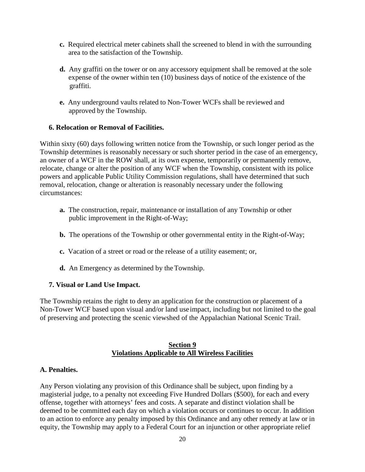- **c.** Required electrical meter cabinets shall the screened to blend in with the surrounding area to the satisfaction of the Township.
- **d.** Any graffiti on the tower or on any accessory equipment shall be removed at the sole expense of the owner within ten (10) business days of notice of the existence of the graffiti.
- **e.** Any underground vaults related to Non-Tower WCFs shall be reviewed and approved by the Township.

### **6. Relocation or Removal of Facilities.**

Within sixty (60) days following written notice from the Township, or such longer period as the Township determines is reasonably necessary or such shorter period in the case of an emergency, an owner of a WCF in the ROW shall, at its own expense, temporarily or permanently remove, relocate, change or alter the position of any WCF when the Township, consistent with its police powers and applicable Public Utility Commission regulations, shall have determined that such removal, relocation, change or alteration is reasonably necessary under the following circumstances:

- **a.** The construction, repair, maintenance or installation of any Township or other public improvement in the Right-of-Way;
- **b.** The operations of the Township or other governmental entity in the Right-of-Way;
- **c.** Vacation of a street or road or the release of a utility easement; or,
- **d.** An Emergency as determined by the Township.

## **7. Visual or Land Use Impact.**

The Township retains the right to deny an application for the construction or placement of a Non-Tower WCF based upon visual and/or land use impact, including but not limited to the goal of preserving and protecting the scenic viewshed of the Appalachian National Scenic Trail.

### **Section 9 Violations Applicable to All Wireless Facilities**

#### **A. Penalties.**

Any Person violating any provision of this Ordinance shall be subject, upon finding by a magisterial judge, to a penalty not exceeding Five Hundred Dollars (\$500), for each and every offense, together with attorneys' fees and costs. A separate and distinct violation shall be deemed to be committed each day on which a violation occurs or continues to occur. In addition to an action to enforce any penalty imposed by this Ordinance and any other remedy at law or in equity, the Township may apply to a Federal Court for an injunction or other appropriate relief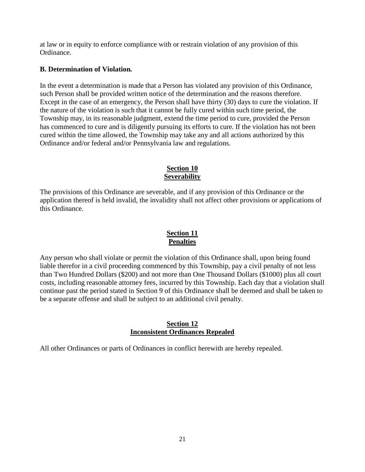at law or in equity to enforce compliance with or restrain violation of any provision of this Ordinance.

## **B. Determination of Violation***.*

In the event a determination is made that a Person has violated any provision of this Ordinance, such Person shall be provided written notice of the determination and the reasons therefore. Except in the case of an emergency, the Person shall have thirty (30) days to cure the violation. If the nature of the violation is such that it cannot be fully cured within such time period, the Township may, in its reasonable judgment, extend the time period to cure, provided the Person has commenced to cure and is diligently pursuing its efforts to cure. If the violation has not been cured within the time allowed, the Township may take any and all actions authorized by this Ordinance and/or federal and/or Pennsylvania law and regulations.

# **Section 10 Severability**

The provisions of this Ordinance are severable, and if any provision of this Ordinance or the application thereof is held invalid, the invalidity shall not affect other provisions or applications of this Ordinance.

# **Section 11 Penalties**

Any person who shall violate or permit the violation of this Ordinance shall, upon being found liable therefor in a civil proceeding commenced by this Township, pay a civil penalty of not less than Two Hundred Dollars (\$200) and not more than One Thousand Dollars (\$1000) plus all court costs, including reasonable attorney fees, incurred by this Township. Each day that a violation shall continue past the period stated in Section 9 of this Ordinance shall be deemed and shall be taken to be a separate offense and shall be subject to an additional civil penalty.

## **Section 12 Inconsistent Ordinances Repealed**

All other Ordinances or parts of Ordinances in conflict herewith are hereby repealed.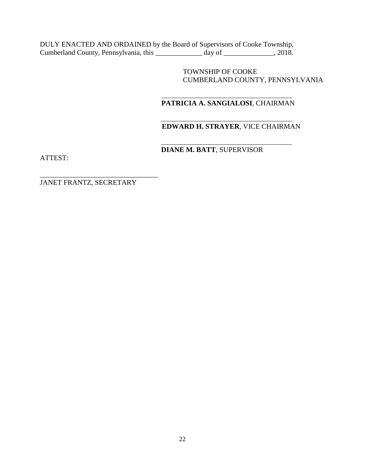DULY ENACTED AND ORDAINED by the Board of Supervisors of Cooke Township, Cumberland County, Pennsylvania, this \_\_\_\_\_\_\_\_\_\_\_\_\_\_ day of \_\_\_\_\_\_\_\_\_\_\_\_, 2018.

> TOWNSHIP OF COOKE CUMBERLAND COUNTY, PENNSYLVANIA

#### $\frac{1}{2}$  ,  $\frac{1}{2}$  ,  $\frac{1}{2}$  ,  $\frac{1}{2}$  ,  $\frac{1}{2}$  ,  $\frac{1}{2}$  ,  $\frac{1}{2}$  ,  $\frac{1}{2}$  ,  $\frac{1}{2}$  ,  $\frac{1}{2}$  ,  $\frac{1}{2}$  ,  $\frac{1}{2}$  ,  $\frac{1}{2}$  ,  $\frac{1}{2}$  ,  $\frac{1}{2}$  ,  $\frac{1}{2}$  ,  $\frac{1}{2}$  ,  $\frac{1}{2}$  ,  $\frac{1$ **PATRICIA A. SANGIALOSI**, CHAIRMAN

#### $\frac{1}{2}$  ,  $\frac{1}{2}$  ,  $\frac{1}{2}$  ,  $\frac{1}{2}$  ,  $\frac{1}{2}$  ,  $\frac{1}{2}$  ,  $\frac{1}{2}$  ,  $\frac{1}{2}$  ,  $\frac{1}{2}$  ,  $\frac{1}{2}$  ,  $\frac{1}{2}$  ,  $\frac{1}{2}$  ,  $\frac{1}{2}$  ,  $\frac{1}{2}$  ,  $\frac{1}{2}$  ,  $\frac{1}{2}$  ,  $\frac{1}{2}$  ,  $\frac{1}{2}$  ,  $\frac{1$  **EDWARD H. STRAYER**, VICE CHAIRMAN

 $\frac{1}{2}$  ,  $\frac{1}{2}$  ,  $\frac{1}{2}$  ,  $\frac{1}{2}$  ,  $\frac{1}{2}$  ,  $\frac{1}{2}$  ,  $\frac{1}{2}$  ,  $\frac{1}{2}$  ,  $\frac{1}{2}$  ,  $\frac{1}{2}$  ,  $\frac{1}{2}$  ,  $\frac{1}{2}$  ,  $\frac{1}{2}$  ,  $\frac{1}{2}$  ,  $\frac{1}{2}$  ,  $\frac{1}{2}$  ,  $\frac{1}{2}$  ,  $\frac{1}{2}$  ,  $\frac{1$ **DIANE M. BATT**, SUPERVISOR

ATTEST:

JANET FRANTZ, SECRETARY

\_\_\_\_\_\_\_\_\_\_\_\_\_\_\_\_\_\_\_\_\_\_\_\_\_\_\_\_\_\_\_\_\_